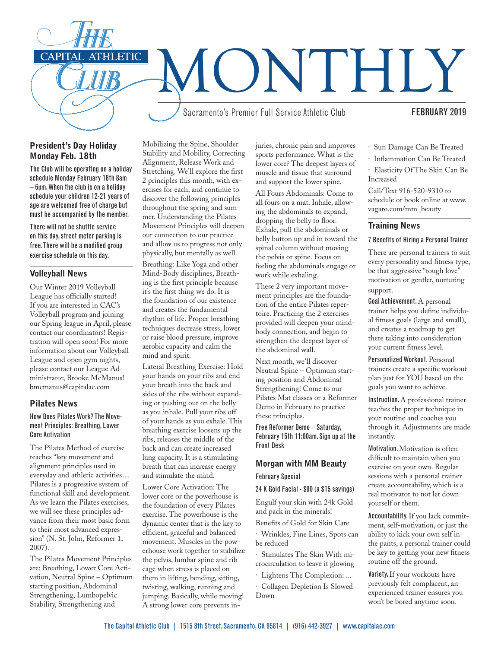

## President's Day Holiday Monday Feb. 18th

The Club will be operating on a holiday schedule Monday February 18th 8am – 6pm. When the club is on a holiday schedule your children 12-21 years of age are welcomed free of charge but must be accompanied by the member.

There will not be shuttle service on this day, street meter parking is free. There will be a modified group exercise schedule on this day.

### Volleyball News

Our Winter 2019 Volleyball League has officially started! If you are interested in CAC's Volleyball program and joining our Spring league in April, please contact our coordinators! Registration will open soon! For more information about our Volleyball League and open gym nights, please contact our League Administrator, Brooke McManus! bmcmanus@capitalac.com

### Pilates News

### How Does Pilates Work? The Movement Principles: Breathing, Lower Core Activation

The Pilates Method of exercise teaches "key movement and alignment principles used in everyday and athletic activities… Pilates is a progressive system of functional skill and development. As we learn the Pilates exercises, we will see these principles advance from their most basic form to their most advanced expression" (N. St. John, Reformer 1, 2007).

The Pilates Movement Principles are: Breathing, Lower Core Activation, Neutral Spine – Optimum starting position, Abdominal Strengthening, Lumbopelvic Stability, Strengthening and

Mobilizing the Spine, Shoulder Stability and Mobility, Correcting Alignment, Release Work and Stretching. We'll explore the first 2 principles this month, with exercises for each, and continue to discover the following principles throughout the spring and summer. Understanding the Pilates Movement Principles will deepen our connection to our practice and allow us to progress not only physically, but mentally as well.

Breathing: Like Yoga and other Mind-Body disciplines, Breathing is the first principle because it's the first thing we do. It is the foundation of our existence and creates the fundamental rhythm of life. Proper breathing techniques decrease stress, lower or raise blood pressure, improve aerobic capacity and calm the mind and spirit.

Lateral Breathing Exercise: Hold your hands on your ribs and end your breath into the back and sides of the ribs without expanding or pushing out on the belly as you inhale. Pull your ribs off of your hands as you exhale. This breathing exercise loosens up the ribs, releases the middle of the back and can create increased lung capacity. It is a stimulating breath that can increase energy and stimulate the mind.

Lower Core Activation: The lower core or the powerhouse is the foundation of every Pilates exercise. The powerhouse is the dynamic center that is the key to efficient, graceful and balanced movement. Muscles in the powerhouse work together to stabilize the pelvis, lumbar spine and rib cage when stress is placed on them in lifting, bending, sitting, twisting, walking, running and jumping. Basically, while moving! A strong lower core prevents injuries, chronic pain and improves sports performance. What is the lower core? The deepest layers of muscle and tissue that surround and support the lower spine.

All Fours Abdominals: Come to all fours on a mat. Inhale, allowing the abdominals to expand, dropping the belly to floor. Exhale, pull the abdominals or belly button up and in toward the spinal column without moving the pelvis or spine. Focus on feeling the abdominals engage or work while exhaling.

These 2 very important movement principles are the foundation of the entire Pilates repertoire. Practicing the 2 exercises provided will deepen your mindbody connection, and begin to strengthen the deepest layer of the abdominal wall.

Next month, we'll discover Neutral Spine – Optimum starting position and Abdominal Strengthening! Come to our Pilates Mat classes or a Reformer Demo in February to practice these principles.

Free Reformer Demo – Saturday, February 15th 11:00am. Sign up at the Front Desk

## Morgan with MM Beauty

### February Special

### 24 K Gold Facial - \$90 (a \$15 savings)

Engulf your skin with 24k Gold and pack in the minerals!

Benefits of Gold for Skin Care

· Wrinkles, Fine Lines, Spots can be reduced

· Stimulates The Skin With microcirculation to leave it glowing

· Lightens The Complexion: ...

· Collagen Depletion Is Slowed Down

#### · Sun Damage Can Be Treated

· Inflammation Can Be Treated

· Elasticity Of The Skin Can Be Increased

Call/Text 916-520-9310 to schedule or book online at www. vagaro.com/mm\_beauty

### Training News

### 7 Benefits of Hiring a Personal Trainer

There are personal trainers to suit every personality and fitness type, be that aggressive "tough love" motivation or gentler, nurturing support.

Goal Achievement. A personal trainer helps you define individual fitness goals (large and small), and creates a roadmap to get there taking into consideration your current fitness level.

Personalized Workout. Personal trainers create a specific workout plan just for YOU based on the goals you want to achieve.

Instruction. A professional trainer teaches the proper technique in your routine and coaches you through it. Adjustments are made instantly.

Motivation. Motivation is often difficult to maintain when you exercise on your own. Regular sessions with a personal trainer create accountability, which is a real motivator to not let down yourself or them.

Accountability. If you lack commitment, self-motivation, or just the ability to kick your own self in the pants, a personal trainer could be key to getting your new fitness routine off the ground.

Variety. If your workouts have previously felt complacent, an experienced trainer ensures you won't be bored anytime soon.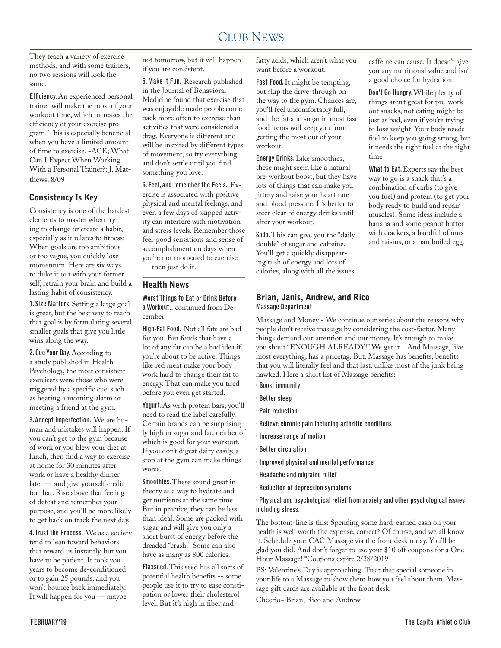#### CLUB NEWS 2000 FOR THE NEWS 2000 FOR THE NEWS 2000 FOR THE NEWS 2000 FOR THE NEWS 2000 FOR THE NEWS 2000 FOR THE NEWS 2000 FOR THE NEWS 2000 FOR THE NEWS 2000 FOR THE NEWS 2000 FOR THE NEWS 2000 FOR THE NEWS 2000 FOR THE N CLUB NEWS

They teach a variety of exercise methods, and with some trainers, no two sessions will look the same.

Efficiency. An experienced personal trainer will make the most of your workout time, which increases the efficiency of your exercise program. This is especially beneficial when you have a limited amount of time to exercise. -ACE; What Can I Expect When Working With a Personal Trainer?; J. Matthews; 8/09

## Consistency Is Key

Consistency is one of the hardest elements to master when trying to change or create a habit, especially as it relates to fitness: When goals are too ambitious or too vague, you quickly lose momentum. Here are six ways to duke it out with your former self, retrain your brain and build a lasting habit of consistency.

1. Size Matters. Setting a large goal is great, but the best way to reach that goal is by formulating several smaller goals that give you little wins along the way.

2. Cue Your Day. According to a study published in Health Psychology, the most consistent exercisers were those who were triggered by a specific cue, such as hearing a morning alarm or meeting a friend at the gym.

3. Accept Imperfection. We are human and mistakes will happen. If you can't get to the gym because of work or you blew your diet at lunch, then find a way to exercise at home for 30 minutes after work or have a healthy dinner later — and give yourself credit for that. Rise above that feeling of defeat and remember your purpose, and you'll be more likely to get back on track the next day.

4. Trust the Process. We as a society tend to lean toward behaviors that reward us instantly, but you have to be patient. It took you years to become de-conditioned or to gain 25 pounds, and you won't bounce back immediately. It will happen for you — maybe

not tomorrow, but it will happen if you are consistent.

5. Make it Fun. Research published in the Journal of Behavioral Medicine found that exercise that was enjoyable made people come back more often to exercise than activities that were considered a drag. Everyone is different and will be inspired by different types of movement, so try everything and don't settle until you find something you love.

6. Feel, and remember the Feels. Exercise is associated with positive physical and mental feelings, and even a few days of skipped activity can interfere with motivation and stress levels. Remember those feel-good sensations and sense of accomplishment on days when you're not motivated to exercise — then just do it.

### Health News

Worst Things to Eat or Drink Before a Workout...continued from December

High-Fat Food. Not all fats are bad for you. But foods that have a lot of any fat can be a bad idea if you're about to be active. Things like red meat make your body work hard to change their fat to energy. That can make you tired before you even get started.

Yogurt. As with protein bars, you'll need to read the label carefully. Certain brands can be surprisingly high in sugar and fat, neither of which is good for your workout. If you don't digest dairy easily, a stop at the gym can make things worse.

Smoothies. These sound great in theory as a way to hydrate and get nutrients at the same time. But in practice, they can be less than ideal. Some are packed with sugar and will give you only a short burst of energy before the dreaded "crash." Some can also have as many as 800 calories.

Flaxseed. This seed has all sorts of potential health benefits -- some people use it to try to ease constipation or lower their cholesterol level. But it's high in fiber and

fatty acids, which aren't what you want before a workout.

Fast Food. It might be tempting, but skip the drive-through on the way to the gym. Chances are, you'll feel uncomfortably full, and the fat and sugar in most fast food items will keep you from getting the most out of your workout.

Energy Drinks. Like smoothies, these might seem like a natural pre-workout boost, but they have lots of things that can make you jittery and raise your heart rate and blood pressure. It's better to steer clear of energy drinks until after your workout.

Soda. This can give you the "daily double" of sugar and caffeine. You'll get a quickly disappearing rush of energy and lots of calories, along with all the issues caffeine can cause. It doesn't give you any nutritional value and isn't a good choice for hydration.

Don't Go Hungry. While plenty of things aren't great for pre-workout snacks, not eating might be just as bad, even if you're trying to lose weight. Your body needs fuel to keep you going strong, but it needs the right fuel at the right time

What to Eat. Experts say the best way to go is a snack that's a combination of carbs (to give you fuel) and protein (to get your body ready to build and repair muscles). Some ideas include a banana and some peanut butter with crackers, a handful of nuts and raisins, or a hardboiled egg.

### Brian, Janis, Andrew, and Rico Massage Department

Massage and Money - We continue our series about the reasons why people don't receive massage by considering the cost-factor. Many things demand our attention and our money. It's enough to make you shout "ENOUGH ALREADY!" We get it…And Massage, like most everything, has a pricetag. But, Massage has benefits, benefits that you will literally feel and that last, unlike most of the junk being hawked. Here a short list of Massage benefits:

- · Boost immunity
- · Better sleep
- · Pain reduction
- · Relieve chronic pain including arthritic conditions
- · Increase range of motion
- · Better circulation
- · Improved physical and mental performance
- · Headache and migraine relief
- · Reduction of depression symptoms

### · Physical and psychological relief from anxiety and other psychological issues including stress.

The bottom-line is this: Spending some hard-earned cash on your health is well worth the expense, correct? Of course, and we all know it. Schedule your CAC Massage via the front desk today. You'll be glad you did. And don't forget to use your \$10 off coupons for a One Hour Massage! \*Coupons expire 2/28/2019

PS: Valentine's Day is approaching. Treat that special someone in your life to a Massage to show them how you feel about them. Massage gift cards are available at the front desk.

Cheerio~ Brian, Rico and Andrew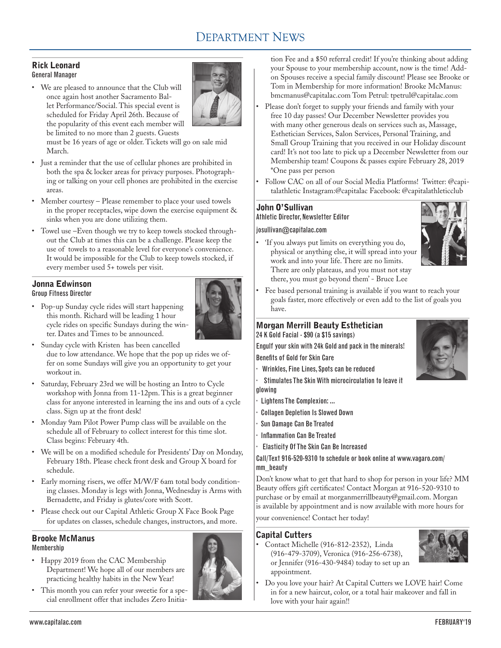# DEPARTMENT NEWS

### Rick Leonard General Manager

• We are pleased to announce that the Club will once again host another Sacramento Ballet Performance/Social. This special event is scheduled for Friday April 26th. Because of the popularity of this event each member will be limited to no more than 2 guests. Guests



must be 16 years of age or older. Tickets will go on sale mid March.

- • Just a reminder that the use of cellular phones are prohibited in both the spa & locker areas for privacy purposes. Photographing or talking on your cell phones are prohibited in the exercise areas.
- Member courtesy Please remember to place your used towels in the proper receptacles, wipe down the exercise equipment & sinks when you are done utilizing them.
- • Towel use –Even though we try to keep towels stocked throughout the Club at times this can be a challenge. Please keep the use of towels to a reasonable level for everyone's convenience. It would be impossible for the Club to keep towels stocked, if every member used 5+ towels per visit.

# Jonna Edwinson

### Group Fitness Director

• Pop-up Sunday cycle rides will start happening this month. Richard will be leading 1 hour cycle rides on specific Sundays during the winter. Dates and Times to be announced.



- • Sunday cycle with Kristen has been cancelled due to low attendance. We hope that the pop up rides we offer on some Sundays will give you an opportunity to get your workout in.
- • Saturday, February 23rd we will be hosting an Intro to Cycle workshop with Jonna from 11-12pm. This is a great beginner class for anyone interested in learning the ins and outs of a cycle class. Sign up at the front desk!
- • Monday 9am Pilot Power Pump class will be available on the schedule all of February to collect interest for this time slot. Class begins: February 4th.
- • We will be on a modified schedule for Presidents' Day on Monday, February 18th. Please check front desk and Group X board for schedule.
- • Early morning risers, we offer M/W/F 6am total body conditioning classes. Monday is legs with Jonna, Wednesday is Arms with Bernadette, and Friday is glutes/core with Scott.
- • Please check out our Capital Athletic Group X Face Book Page for updates on classes, schedule changes, instructors, and more.

# Brooke McManus

## Membership

- Happy 2019 from the CAC Membership Department! We hope all of our members are practicing healthy habits in the New Year!
- • This month you can refer your sweetie for a special enrollment offer that includes Zero Initia-



tion Fee and a \$50 referral credit! If you're thinking about adding your Spouse to your membership account, now is the time! Addon Spouses receive a special family discount! Please see Brooke or Tom in Membership for more information! Brooke McManus: bmcmanus@capitalac.com Tom Petrul: tpetrul@capitalac.com

- • Please don't forget to supply your friends and family with your free 10 day passes! Our December Newsletter provides you with many other generous deals on services such as, Massage, Esthetician Services, Salon Services, Personal Training, and Small Group Training that you received in our Holiday discount card! It's not too late to pick up a December Newsletter from our Membership team! Coupons & passes expire February 28, 2019 \*One pass per person
- Follow CAC on all of our Social Media Platforms! Twitter: @capitalathletic Instagram:@capitalac Facebook: @capitalathleticclub

# John O'Sullivan

## Athletic Director, Newsletter Editor

### josullivan@capitalac.com

'If you always put limits on everything you do, physical or anything else, it will spread into your work and into your life. There are no limits. There are only plateaus, and you must not stay there, you must go beyond them' - Bruce Lee



Fee based personal training is available if you want to reach your goals faster, more effectively or even add to the list of goals you have.

### Morgan Merrill Beauty Esthetician 24 K Gold Facial - \$90 (a \$15 savings)

Engulf your skin with 24k Gold and pack in the minerals! Benefits of Gold for Skin Care

- · Wrinkles, Fine Lines, Spots can be reduced
- Stimulates The Skin With microcirculation to leave it glowing
- Lightens The Complexion: ...
- · Collagen Depletion Is Slowed Down
- Sun Damage Can Be Treated
- · Inflammation Can Be Treated
- · Elasticity Of The Skin Can Be Increased

### Call/Text 916-520-9310 to schedule or book online at www.vagaro.com/ mm\_beauty

Don't know what to get that hard to shop for person in your life? MM Beauty offers gift certificates! Contact Morgan at 916-520-9310 to purchase or by email at morganmerrillbeauty@gmail.com. Morgan is available by appointment and is now available with more hours for

your convenience! Contact her today!

## Capital Cutters

Contact Michelle (916-812-2352), Linda (916-479-3709), Veronica (916-256-6738), or Jennifer (916-430-9484) today to set up an appointment.



Do you love your hair? At Capital Cutters we LOVE hair! Come in for a new haircut, color, or a total hair makeover and fall in love with your hair again!!